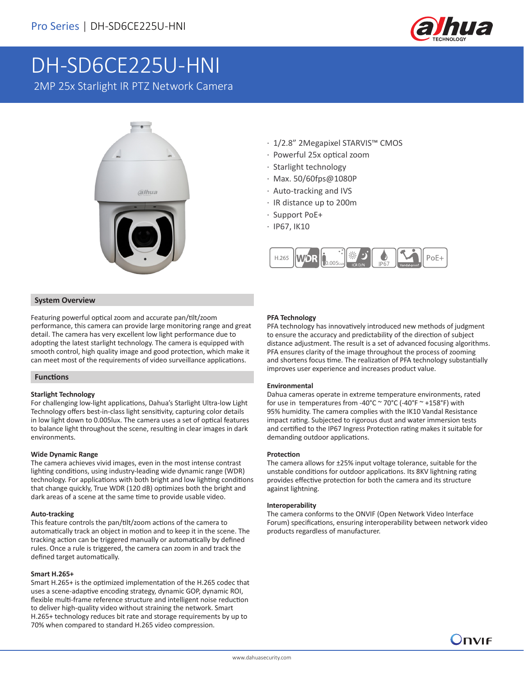

# DH-SD6CE225U-HNI

2MP 25x Starlight IR PTZ Network Camera



- · 1/2.8" 2Megapixel STARVIS™ CMOS
- · Powerful 25x optical zoom
- · Starlight technology
- · Max. 50/60fps@1080P
- · Auto-tracking and IVS
- · IR distance up to 200m
- · Support PoE+
- · IP67, IK10



### **System Overview**

Featuring powerful optical zoom and accurate pan/tilt/zoom performance, this camera can provide large monitoring range and great detail. The camera has very excellent low light performance due to adopting the latest starlight technology. The camera is equipped with smooth control, high quality image and good protection, which make it can meet most of the requirements of video surveillance applications.

### **Functions**

### **Starlight Technology**

For challenging low-light applications, Dahua's Starlight Ultra-low Light Technology offers best-in-class light sensitivity, capturing color details in low light down to 0.005lux. The camera uses a set of optical features to balance light throughout the scene, resulting in clear images in dark environments.

### **Wide Dynamic Range**

The camera achieves vivid images, even in the most intense contrast lighting conditions, using industry-leading wide dynamic range (WDR) technology. For applications with both bright and low lighting conditions that change quickly, True WDR (120 dB) optimizes both the bright and dark areas of a scene at the same time to provide usable video.

### **Auto-tracking**

This feature controls the pan/tilt/zoom actions of the camera to automatically track an object in motion and to keep it in the scene. The tracking action can be triggered manually or automatically by defined rules. Once a rule is triggered, the camera can zoom in and track the defined target automatically.

### **Smart H.265+**

Smart H.265+ is the optimized implementation of the H.265 codec that uses a scene-adaptive encoding strategy, dynamic GOP, dynamic ROI, flexible multi-frame reference structure and intelligent noise reduction to deliver high-quality video without straining the network. Smart H.265+ technology reduces bit rate and storage requirements by up to 70% when compared to standard H.265 video compression.

### **PFA Technology**

PFA technology has innovatively introduced new methods of judgment to ensure the accuracy and predictability of the direction of subject distance adjustment. The result is a set of advanced focusing algorithms. PFA ensures clarity of the image throughout the process of zooming and shortens focus time. The realization of PFA technology substantially improves user experience and increases product value.

#### **Environmental**

Dahua cameras operate in extreme temperature environments, rated for use in temperatures from -40°C  $\sim$  70°C (-40°F  $\sim$  +158°F) with 95% humidity. The camera complies with the IK10 Vandal Resistance impact rating. Subjected to rigorous dust and water immersion tests and certified to the IP67 Ingress Protection rating makes it suitable for demanding outdoor applications.

### **Protection**

The camera allows for ±25% input voltage tolerance, suitable for the unstable conditions for outdoor applications. Its 8KV lightning rating provides effective protection for both the camera and its structure against lightning.

### **Interoperability**

The camera conforms to the ONVIF (Open Network Video Interface Forum) specifications, ensuring interoperability between network video products regardless of manufacturer.

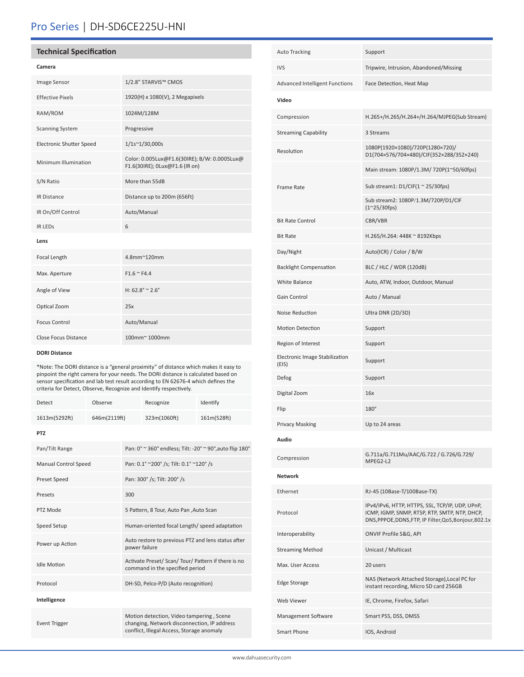# Pro Series | DH-SD6CE225U-HNI

### **Technical Specification**

| × |
|---|
|---|

| <b>Image Sensor</b>      | 1/2.8" STARVIS™ CMOS                                                           |
|--------------------------|--------------------------------------------------------------------------------|
| <b>Effective Pixels</b>  | 1920(H) x 1080(V), 2 Megapixels                                                |
| RAM/ROM                  | 1024M/128M                                                                     |
| <b>Scanning System</b>   | Progressive                                                                    |
| Electronic Shutter Speed | $1/1s^{\sim}1/30,000s$                                                         |
| Minimum Illumination     | Color: 0.005Lux@F1.6(30IRE); B/W: 0.0005Lux@<br>F1.6(30IRE); 0Lux@F1.6 (IR on) |
| S/N Ratio                | More than 55dB                                                                 |
| <b>IR Distance</b>       | Distance up to 200m (656ft)                                                    |
| IR On/Off Control        | Auto/Manual                                                                    |
| <b>IR LEDS</b>           | 6                                                                              |
| Lens                     |                                                                                |
| Focal Length             | 4.8mm~120mm                                                                    |
| Max. Aperture            | $F1.6 \cong F4.4$                                                              |
| Angle of View            | H: $62.8^{\circ} \approx 2.6^{\circ}$                                          |
| Optical Zoom             | 25x                                                                            |
| <b>Focus Control</b>     | Auto/Manual                                                                    |
| Close Focus Distance     | 100mm~1000mm                                                                   |

### **DORI Distance**

\*Note: The DORI distance is a "general proximity" of distance which makes it easy to pinpoint the right camera for your needs. The DORI distance is calculated based on sensor specification and lab test result according to EN 62676-4 which defines the criteria for Detect, Observe, Recognize and Identify respectively.

| Detect                      | Observe      |     | Recognize                                                                                                                            | Identify    |
|-----------------------------|--------------|-----|--------------------------------------------------------------------------------------------------------------------------------------|-------------|
| 1613m(5292ft)               | 646m(2119ft) |     | 323m(1060ft)                                                                                                                         | 161m(528ft) |
| <b>PTZ</b>                  |              |     |                                                                                                                                      |             |
| Pan/Tilt Range              |              |     | Pan: 0° ~ 360° endless; Tilt: -20° ~ 90°, auto flip 180°                                                                             |             |
| <b>Manual Control Speed</b> |              |     | Pan: 0.1° ~200° /s; Tilt: 0.1° ~120° /s                                                                                              |             |
| <b>Preset Speed</b>         |              |     | Pan: 300° /s; Tilt: 200° /s                                                                                                          |             |
| Presets                     |              | 300 |                                                                                                                                      |             |
| PTZ Mode                    |              |     | 5 Pattern, 8 Tour, Auto Pan , Auto Scan                                                                                              |             |
| Speed Setup                 |              |     | Human-oriented focal Length/ speed adaptation                                                                                        |             |
| Power up Action             |              |     | Auto restore to previous PTZ and lens status after<br>power failure                                                                  |             |
| <b>Idle Motion</b>          |              |     | Activate Preset/ Scan/ Tour/ Pattern if there is no<br>command in the specified period                                               |             |
| Protocol                    |              |     | DH-SD, Pelco-P/D (Auto recognition)                                                                                                  |             |
| Intelligence                |              |     |                                                                                                                                      |             |
| <b>Event Trigger</b>        |              |     | Motion detection, Video tampering, Scene<br>changing, Network disconnection, IP address<br>conflict, Illegal Access, Storage anomaly |             |

| <b>Auto Tracking</b>                    | Support                                                                                                                                                    |
|-----------------------------------------|------------------------------------------------------------------------------------------------------------------------------------------------------------|
| <b>IVS</b>                              | Tripwire, Intrusion, Abandoned/Missing                                                                                                                     |
| Advanced Intelligent Functions          | Face Detection, Heat Map                                                                                                                                   |
| Video                                   |                                                                                                                                                            |
| Compression                             | H.265+/H.265/H.264+/H.264/MJPEG(Sub Stream)                                                                                                                |
| <b>Streaming Capability</b>             | 3 Streams                                                                                                                                                  |
| Resolution                              | 1080P(1920×1080)/720P(1280×720)/<br>D1(704×576/704×480)/CIF(352×288/352×240)                                                                               |
|                                         | Main stream: 1080P/1.3M/ 720P(1~50/60fps)                                                                                                                  |
| Frame Rate                              | Sub stream1: $D1/CIF(1 ~ 25/30fps)$                                                                                                                        |
|                                         | Sub stream2: 1080P/1.3M/720P/D1/CIF<br>$(1^{\sim}25/30$ fps)                                                                                               |
| <b>Bit Rate Control</b>                 | CBR/VBR                                                                                                                                                    |
| <b>Bit Rate</b>                         | H.265/H.264: 448K ~ 8192Kbps                                                                                                                               |
| Day/Night                               | Auto(ICR) / Color / B/W                                                                                                                                    |
| <b>Backlight Compensation</b>           | BLC / HLC / WDR (120dB)                                                                                                                                    |
| <b>White Balance</b>                    | Auto, ATW, Indoor, Outdoor, Manual                                                                                                                         |
| Gain Control                            | Auto / Manual                                                                                                                                              |
| Noise Reduction                         | Ultra DNR (2D/3D)                                                                                                                                          |
| <b>Motion Detection</b>                 | Support                                                                                                                                                    |
| Region of Interest                      | Support                                                                                                                                                    |
| Electronic Image Stabilization<br>(EIS) | Support                                                                                                                                                    |
| Defog                                   | Support                                                                                                                                                    |
| Digital Zoom                            | 16x                                                                                                                                                        |
| Flip                                    | $180^\circ$                                                                                                                                                |
| <b>Privacy Masking</b>                  | Up to 24 areas                                                                                                                                             |
| Audio                                   |                                                                                                                                                            |
| Compression                             | G.711a/G.711Mu/AAC/G.722 / G.726/G.729/<br>MPEG2-L2                                                                                                        |
| <b>Network</b>                          |                                                                                                                                                            |
| Ethernet                                | RJ-45 (10Base-T/100Base-TX)                                                                                                                                |
| Protocol                                | IPv4/IPv6, HTTP, HTTPS, SSL, TCP/IP, UDP, UPnP,<br>ICMP, IGMP, SNMP, RTSP, RTP, SMTP, NTP, DHCP,<br>DNS, PPPOE, DDNS, FTP, IP Filter, QoS, Bonjour, 802.1x |
| Interoperability                        | ONVIF Profile S&G, API                                                                                                                                     |
| <b>Streaming Method</b>                 | Unicast / Multicast                                                                                                                                        |
| Max. User Access                        | 20 users                                                                                                                                                   |
| <b>Edge Storage</b>                     | NAS (Network Attached Storage), Local PC for<br>instant recording, Micro SD card 256GB                                                                     |
| Web Viewer                              | IE, Chrome, Firefox, Safari                                                                                                                                |
| Management Software                     | Smart PSS, DSS, DMSS                                                                                                                                       |
| Smart Phone                             | IOS, Android                                                                                                                                               |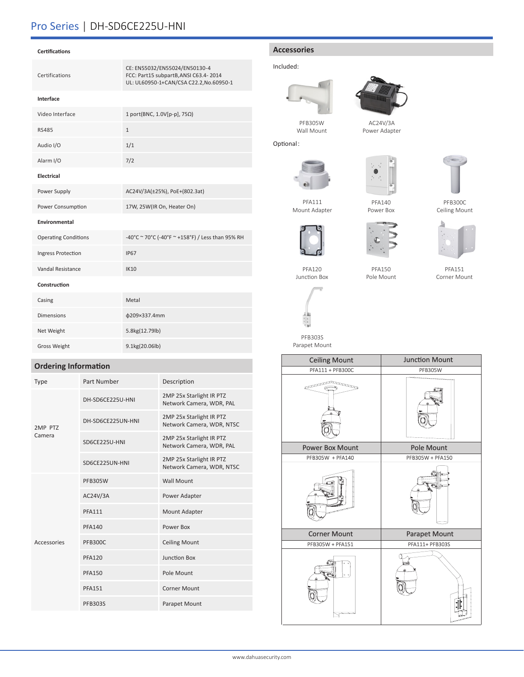# Pro Series | DH-SD6CE225U-HNI

| <b>Certifications</b> |                                                                                                                   |
|-----------------------|-------------------------------------------------------------------------------------------------------------------|
| Certifications        | CE: EN55032/EN55024/EN50130-4<br>FCC: Part15 subpartB, ANSI C63.4-2014<br>UL: UL60950-1+CAN/CSA C22.2, No.60950-1 |
| Interface             |                                                                                                                   |
| Video Interface       | 1 port(BNC, 1.0V[p-p], 75 $\Omega$ )                                                                              |
| RS485                 | $\mathbf{1}$                                                                                                      |
| Audio I/O             | 1/1                                                                                                               |
| Alarm I/O             | 7/2                                                                                                               |
| Electrical            |                                                                                                                   |
| Power Supply          | AC24V/3A(±25%), PoE+(802.3at)                                                                                     |
| Power Consumption     | 17W, 25W(IR On, Heater On)                                                                                        |
|                       |                                                                                                                   |

#### **Environmental**

| <b>Operating Conditions</b> | -40°C ~ 70°C (-40°F ~ +158°F) / Less than 95% RH |
|-----------------------------|--------------------------------------------------|
| Ingress Protection          | <b>IP67</b>                                      |
| Vandal Resistance           | <b>IK10</b>                                      |
| Construction                |                                                  |
| Casing                      | Metal                                            |
| <b>Dimensions</b>           | φ209×337.4mm                                     |
| Net Weight                  | 5.8kg(12.79lb)                                   |
| <b>Gross Weight</b>         | 9.1kg(20.06lb)                                   |

### **Ordering Information**

| <b>Type</b>       | Part Number       | Description                                           |
|-------------------|-------------------|-------------------------------------------------------|
| 2MP PTZ<br>Camera | DH-SD6CE225U-HNI  | 2MP 25x Starlight IR PTZ<br>Network Camera, WDR, PAL  |
|                   | DH-SD6CE225UN-HNI | 2MP 25x Starlight IR PTZ<br>Network Camera, WDR, NTSC |
|                   | SD6CE225U-HNI     | 2MP 25x Starlight IR PTZ<br>Network Camera, WDR, PAL  |
|                   | SD6CE225UN-HNI    | 2MP 25x Starlight IR PTZ<br>Network Camera, WDR, NTSC |
| Accessories       | <b>PFB305W</b>    | <b>Wall Mount</b>                                     |
|                   | AC24V/3A          | Power Adapter                                         |
|                   | <b>PFA111</b>     | Mount Adapter                                         |
|                   | <b>PFA140</b>     | Power Box                                             |
|                   | <b>PFB300C</b>    | <b>Ceiling Mount</b>                                  |
|                   | <b>PFA120</b>     | Junction Box                                          |
|                   | <b>PFA150</b>     | Pole Mount                                            |
|                   | <b>PFA151</b>     | <b>Corner Mount</b>                                   |
|                   | <b>PFB303S</b>    | Parapet Mount                                         |

### **Accessories**

### Included:

Optional:





AC24V/3A Power Adapter



PFA111 Mount Adapter



PFA140 Power Box





PFB300C Ceiling Mount



PFA150 Pole Mount



PFA151 Corner Mount

| PFA120       |  |  |  |
|--------------|--|--|--|
| Junction Box |  |  |  |



PFB303S Parapet Mount



www.dahuasecurity.com